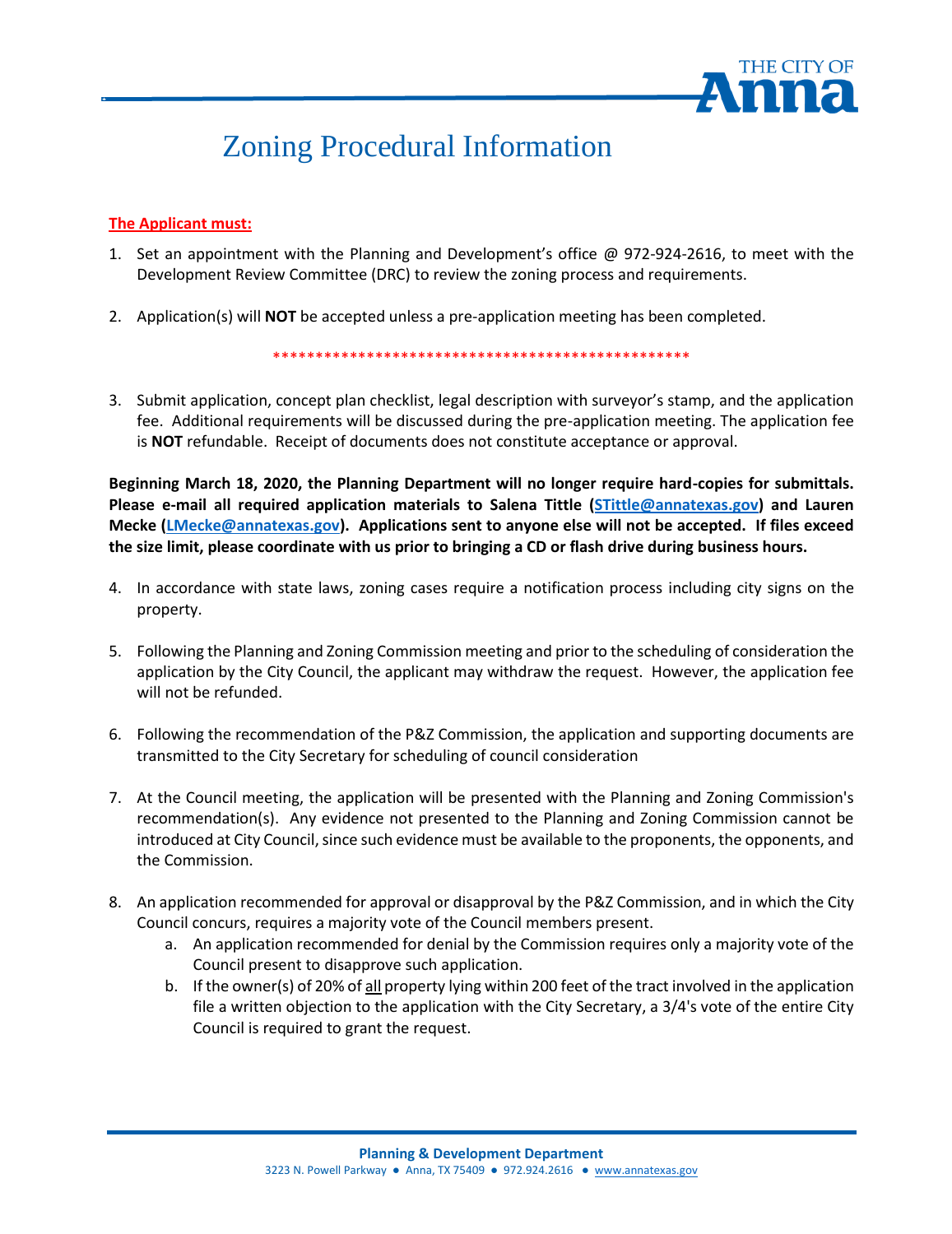

# Zoning Procedural Information

### **The Applicant must:**

- 1. Set an appointment with the Planning and Development's office @ 972-924-2616, to meet with the Development Review Committee (DRC) to review the zoning process and requirements.
- 2. Application(s) will **NOT** be accepted unless a pre-application meeting has been completed.

\*\*\*\*\*\*\*\*\*\*\*\*\*\*\*\*\*\*\*\*\*\*\*\*\*\*\*\*\*\*\*\*\*\*\*\*\*\*\*\*\*\*\*\*\*\*\*\*\*

3. Submit application, concept plan checklist, legal description with surveyor's stamp, and the application fee. Additional requirements will be discussed during the pre-application meeting. The application fee is **NOT** refundable. Receipt of documents does not constitute acceptance or approval.

**Beginning March 18, 2020, the Planning Department will no longer require hard-copies for submittals. Please e-mail all required application materials to Salena Tittle [\(STittle@annatexas.gov\)](mailto:ODemings@annatexas.gov) and Lauren Mecke [\(LMecke@annatexas.gov\)](mailto:LMecke@annatexas.gov). Applications sent to anyone else will not be accepted. If files exceed the size limit, please coordinate with us prior to bringing a CD or flash drive during business hours.**

- 4. In accordance with state laws, zoning cases require a notification process including city signs on the property.
- 5. Following the Planning and Zoning Commission meeting and prior to the scheduling of consideration the application by the City Council, the applicant may withdraw the request. However, the application fee will not be refunded.
- 6. Following the recommendation of the P&Z Commission, the application and supporting documents are transmitted to the City Secretary for scheduling of council consideration
- 7. At the Council meeting, the application will be presented with the Planning and Zoning Commission's recommendation(s). Any evidence not presented to the Planning and Zoning Commission cannot be introduced at City Council, since such evidence must be available to the proponents, the opponents, and the Commission.
- 8. An application recommended for approval or disapproval by the P&Z Commission, and in which the City Council concurs, requires a majority vote of the Council members present.
	- a. An application recommended for denial by the Commission requires only a majority vote of the Council present to disapprove such application.
	- b. If the owner(s) of 20% of all property lying within 200 feet of the tract involved in the application file a written objection to the application with the City Secretary, a 3/4's vote of the entire City Council is required to grant the request.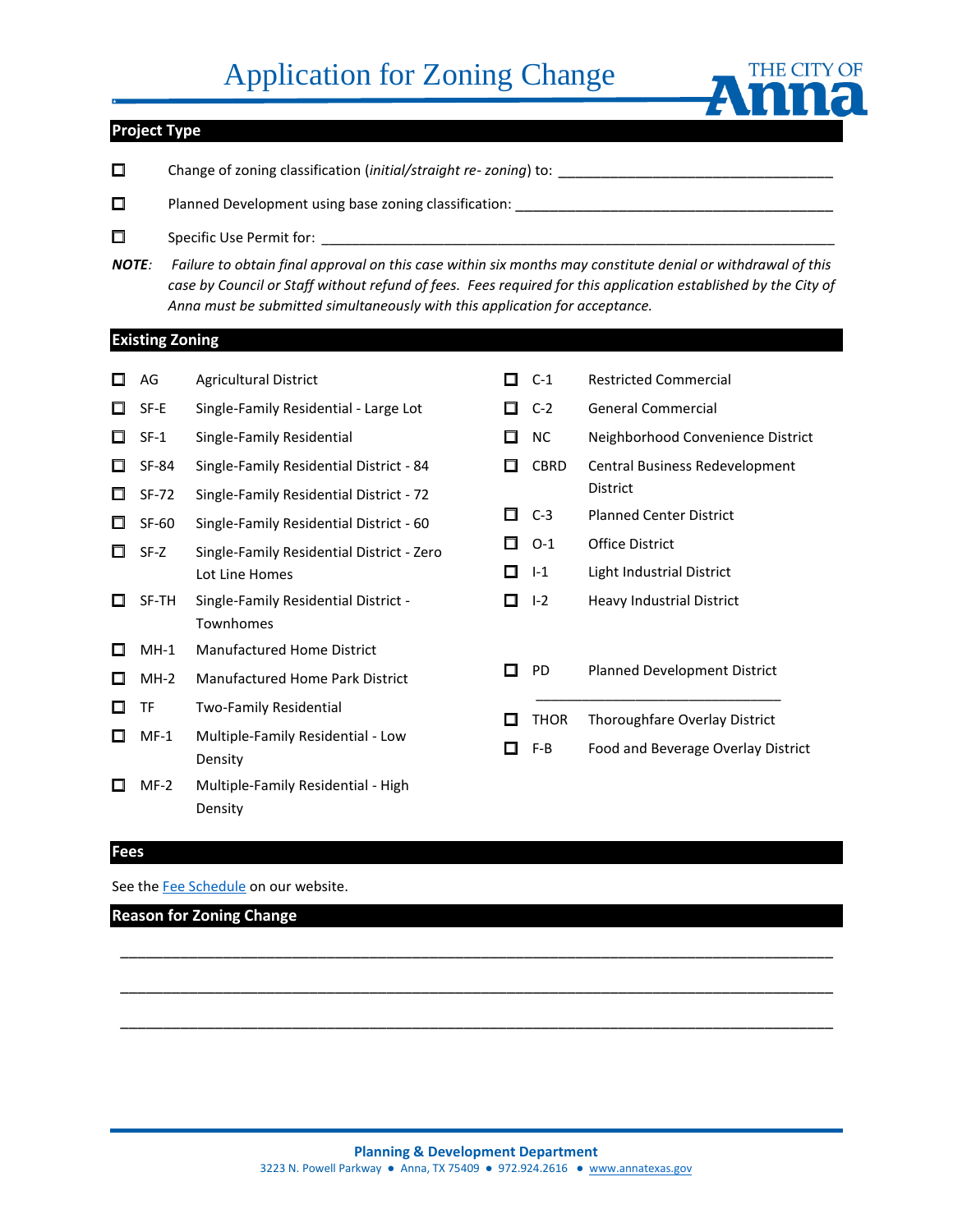# Application for Zoning Change



## **Project Type**

- □ Change of zoning classification (*initial/straight re- zoning*) to: \_\_\_\_\_\_\_\_\_\_\_\_\_\_\_\_\_\_\_\_\_\_\_\_\_\_\_\_\_\_\_\_
- □ Planned Development using base zoning classification: \_\_\_\_\_\_\_\_\_\_\_\_\_\_\_\_\_\_\_\_\_\_\_\_\_\_\_\_\_\_\_\_\_\_\_\_\_
- $\Box$  Specific Use Permit for:
- *NOTE: Failure to obtain final approval on this case within six months may constitute denial or withdrawal of this*  case by Council or Staff without refund of fees. Fees required for this application established by the City of *Anna must be submitted simultaneously with this application for acceptance.*

#### **Existing Zoning**

□ AG Agricultural District □ SF-E Single-Family Residential - Large Lot □ SF-1 Single-Family Residential □ SF-84 Single-Family Residential District - 84 □ SF-72 Single-Family Residential District - 72 □ SF-60 Single-Family Residential District - 60 □ SF-Z Single-Family Residential District - Zero Lot Line Homes □ SF-TH Single-Family Residential District - Townhomes □ MH-1 Manufactured Home District □ MH-2 Manufactured Home Park District □ TF Two-Family Residential □ MF-1 Multiple-Family Residential - Low Density □ MF-2 Multiple-Family Residential - High Density □ C-1 Restricted Commercial □ C-2 General Commercial □ NC Neighborhood Convenience District □ CBRD Central Business Redevelopment District □ C-3 Planned Center District □ O-1 Office District □ I-1 Light Industrial District □ I-2 Heavy Industrial District □ PD Planned Development District \_\_\_\_\_\_\_\_\_\_\_\_\_\_\_\_\_\_\_\_\_\_\_\_\_\_\_\_\_\_\_\_ □ THOR Thoroughfare Overlay District □ F-B Food and Beverage Overlay District

#### **Fees**

See th[e Fee Schedule](https://www.annatexas.gov/DocumentCenter/View/3406/Fee-Schedule-Planning-and-Development) on our website.

### **Reason for Zoning Change**

\_\_\_\_\_\_\_\_\_\_\_\_\_\_\_\_\_\_\_\_\_\_\_\_\_\_\_\_\_\_\_\_\_\_\_\_\_\_\_\_\_\_\_\_\_\_\_\_\_\_\_\_\_\_\_\_\_\_\_\_\_\_\_\_\_\_\_\_\_\_\_\_\_\_\_\_\_\_\_\_\_\_\_

\_\_\_\_\_\_\_\_\_\_\_\_\_\_\_\_\_\_\_\_\_\_\_\_\_\_\_\_\_\_\_\_\_\_\_\_\_\_\_\_\_\_\_\_\_\_\_\_\_\_\_\_\_\_\_\_\_\_\_\_\_\_\_\_\_\_\_\_\_\_\_\_\_\_\_\_\_\_\_\_\_\_\_

\_\_\_\_\_\_\_\_\_\_\_\_\_\_\_\_\_\_\_\_\_\_\_\_\_\_\_\_\_\_\_\_\_\_\_\_\_\_\_\_\_\_\_\_\_\_\_\_\_\_\_\_\_\_\_\_\_\_\_\_\_\_\_\_\_\_\_\_\_\_\_\_\_\_\_\_\_\_\_\_\_\_\_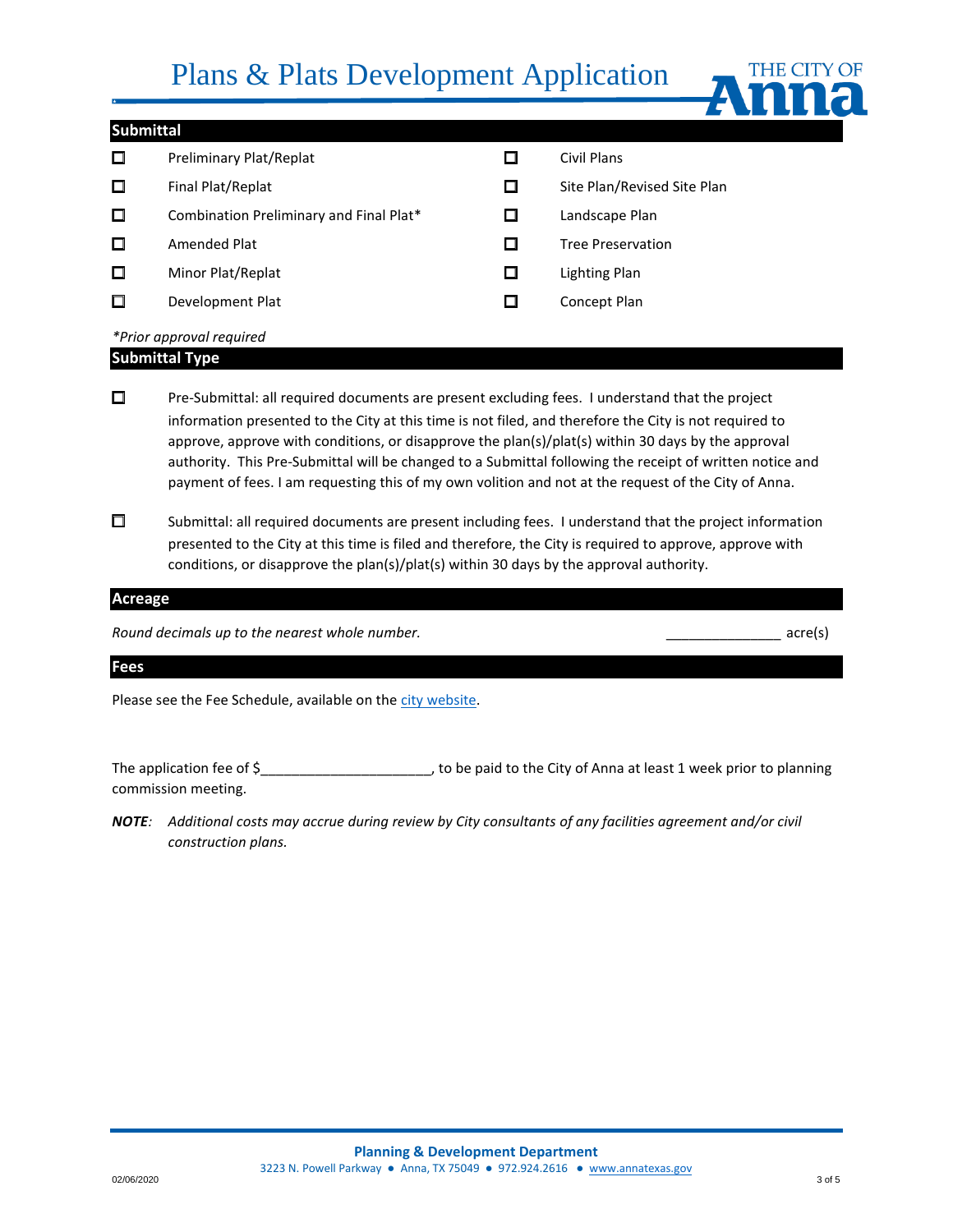# Plans & Plats Development Application



### **Submittal**

| □ | Preliminary Plat/Replat                 | Civil Plans                 |
|---|-----------------------------------------|-----------------------------|
| □ | Final Plat/Replat                       | Site Plan/Revised Site Plan |
| □ | Combination Preliminary and Final Plat* | Landscape Plan              |
| □ | Amended Plat                            | <b>Tree Preservation</b>    |
| □ | Minor Plat/Replat                       | Lighting Plan               |
| □ | Development Plat                        | Concept Plan                |
|   | *Prior approval required                |                             |

# **Submittal Type**

□ Pre-Submittal: all required documents are present excluding fees. I understand that the project information presented to the City at this time is not filed, and therefore the City is not required to approve, approve with conditions, or disapprove the plan(s)/plat(s) within 30 days by the approval authority. This Pre-Submittal will be changed to a Submittal following the receipt of written notice and payment of fees. I am requesting this of my own volition and not at the request of the City of Anna.

□ Submittal: all required documents are present including fees. I understand that the project information presented to the City at this time is filed and therefore, the City is required to approve, approve with conditions, or disapprove the plan(s)/plat(s) within 30 days by the approval authority.

#### **Acreage**

*Round decimals up to the nearest whole number.*  $\blacksquare$ 

#### **Fees**

Please see the Fee Schedule, available on th[e city website.](https://z2.franklinlegal.net/franklin/Z2Browser2.html?showset=annaset&collection=anna&doccode=z2Code_z20000415)

The application fee of \$\_\_\_\_\_\_\_\_\_\_\_\_\_\_\_\_\_\_\_\_\_\_, to be paid to the City of Anna at least 1 week prior to planning commission meeting.

*NOTE: Additional costs may accrue during review by City consultants of any facilities agreement and/or civil construction plans.*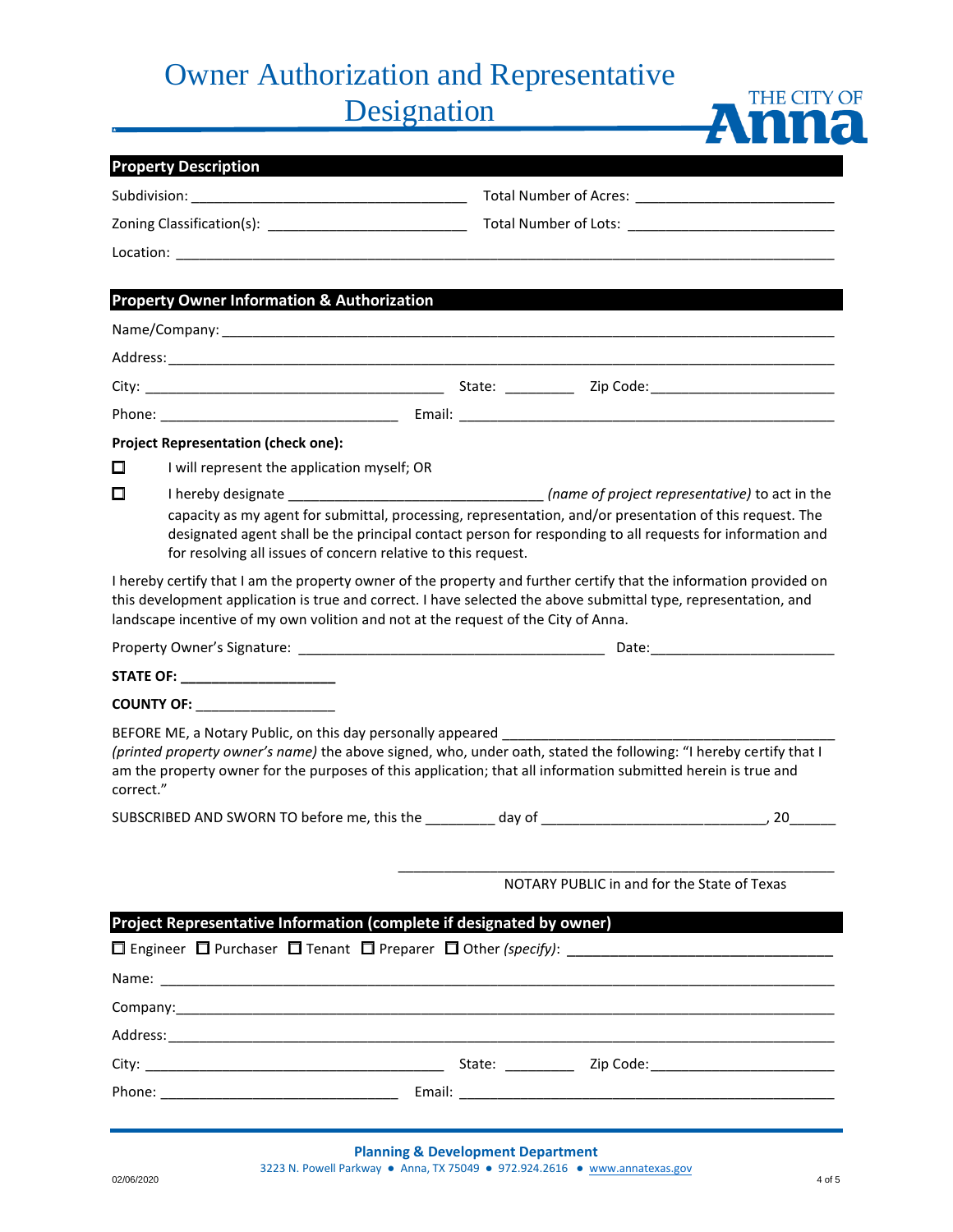# Owner Authorization and Representative

Designation

|                                                                                        | <b>Property Description</b>                                                                                                                                                                                                                                                                                                 |                                             |  |  |  |
|----------------------------------------------------------------------------------------|-----------------------------------------------------------------------------------------------------------------------------------------------------------------------------------------------------------------------------------------------------------------------------------------------------------------------------|---------------------------------------------|--|--|--|
|                                                                                        |                                                                                                                                                                                                                                                                                                                             |                                             |  |  |  |
|                                                                                        |                                                                                                                                                                                                                                                                                                                             |                                             |  |  |  |
|                                                                                        |                                                                                                                                                                                                                                                                                                                             |                                             |  |  |  |
|                                                                                        |                                                                                                                                                                                                                                                                                                                             |                                             |  |  |  |
|                                                                                        | <b>Property Owner Information &amp; Authorization</b>                                                                                                                                                                                                                                                                       |                                             |  |  |  |
|                                                                                        |                                                                                                                                                                                                                                                                                                                             |                                             |  |  |  |
|                                                                                        |                                                                                                                                                                                                                                                                                                                             |                                             |  |  |  |
|                                                                                        |                                                                                                                                                                                                                                                                                                                             |                                             |  |  |  |
|                                                                                        |                                                                                                                                                                                                                                                                                                                             |                                             |  |  |  |
|                                                                                        | <b>Project Representation (check one):</b>                                                                                                                                                                                                                                                                                  |                                             |  |  |  |
| □                                                                                      | I will represent the application myself; OR                                                                                                                                                                                                                                                                                 |                                             |  |  |  |
| П                                                                                      | capacity as my agent for submittal, processing, representation, and/or presentation of this request. The<br>designated agent shall be the principal contact person for responding to all requests for information and<br>for resolving all issues of concern relative to this request.                                      |                                             |  |  |  |
|                                                                                        | I hereby certify that I am the property owner of the property and further certify that the information provided on<br>this development application is true and correct. I have selected the above submittal type, representation, and<br>landscape incentive of my own volition and not at the request of the City of Anna. |                                             |  |  |  |
|                                                                                        |                                                                                                                                                                                                                                                                                                                             |                                             |  |  |  |
|                                                                                        | STATE OF: _______________________                                                                                                                                                                                                                                                                                           |                                             |  |  |  |
|                                                                                        | COUNTY OF: __________________                                                                                                                                                                                                                                                                                               |                                             |  |  |  |
| correct."                                                                              | BEFORE ME, a Notary Public, on this day personally appeared ____________________<br>(printed property owner's name) the above signed, who, under oath, stated the following: "I hereby certify that I<br>am the property owner for the purposes of this application; that all information submitted herein is true and      |                                             |  |  |  |
|                                                                                        |                                                                                                                                                                                                                                                                                                                             |                                             |  |  |  |
|                                                                                        |                                                                                                                                                                                                                                                                                                                             | NOTARY PUBLIC in and for the State of Texas |  |  |  |
|                                                                                        | Project Representative Information (complete if designated by owner)                                                                                                                                                                                                                                                        |                                             |  |  |  |
| $\Box$ Engineer $\Box$ Purchaser $\Box$ Tenant $\Box$ Preparer $\Box$ Other (specify): |                                                                                                                                                                                                                                                                                                                             |                                             |  |  |  |
|                                                                                        |                                                                                                                                                                                                                                                                                                                             |                                             |  |  |  |
|                                                                                        |                                                                                                                                                                                                                                                                                                                             |                                             |  |  |  |
|                                                                                        |                                                                                                                                                                                                                                                                                                                             |                                             |  |  |  |
|                                                                                        |                                                                                                                                                                                                                                                                                                                             |                                             |  |  |  |
|                                                                                        |                                                                                                                                                                                                                                                                                                                             |                                             |  |  |  |
|                                                                                        |                                                                                                                                                                                                                                                                                                                             |                                             |  |  |  |

THE CITY OF

Anna